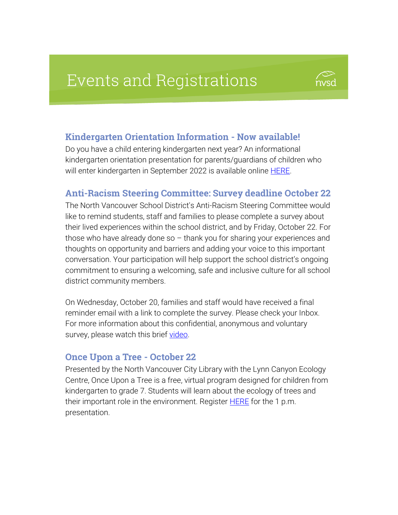# Events and Registrations



## Kindergarten Orientation Information - Now available!

Do you have a child entering kindergarten next year? An informational kindergarten orientation presentation for parents/guardians of children who will enter kindergarten in September 2022 is available online **HERE**.

#### Anti-Racism Steering Committee: Survey deadline October 22

The North Vancouver School District's Anti-Racism Steering Committee would like to remind students, staff and families to please complete a survey about their lived experiences within the school district, and by Friday, October 22. For those who have already done so  $-$  thank you for sharing your experiences and thoughts on opportunity and barriers and adding your voice to this important conversation. Your participation will help support the school district's ongoing commitment to ensuring a welcoming, safe and inclusive culture for all school district community members.

On Wednesday, October 20, families and staff would have received a final reminder email with a link to complete the survey. Please check your Inbox. For more information about this confidential, anonymous and voluntary survey, please watch this brief [video.](https://vimeo.com/618407896)

#### Once Upon a Tree - October 22

Presented by the North Vancouver City Library with the Lynn Canyon Ecology Centre, Once Upon a Tree is a free, virtual program designed for children from kindergarten to grade 7. Students will learn about the ecology of trees and their important role in the environment. Register **HERE** for the 1 p.m. presentation.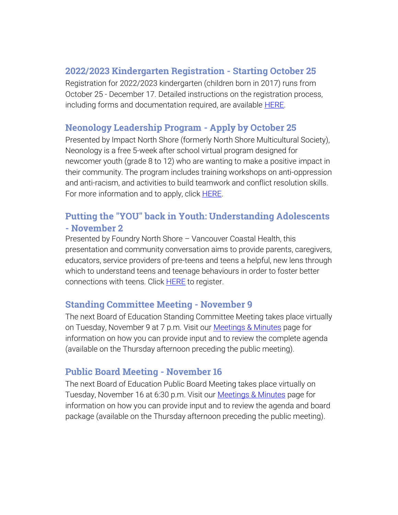## 2022/2023 Kindergarten Registration - Starting October 25

Registration for 2022/2023 kindergarten (children born in 2017) runs from October 25 - December 17. Detailed instructions on the registration process, including forms and documentation required, are available **HERE**.

## Neonology Leadership Program - Apply by October 25

Presented by Impact North Shore (formerly North Shore Multicultural Society), Neonology is a free 5-week after school virtual program designed for newcomer youth (grade 8 to 12) who are wanting to make a positive impact in their community. The program includes training workshops on anti-oppression and anti-racism, and activities to build teamwork and conflict resolution skills. For more information and to apply, click [HERE.](https://impactnorthshore.ca/our-workshops/neonology-leadership-camp/)

## Putting the "YOU" back in Youth: Understanding Adolescents - November 2

Presented by Foundry North Shore – Vancouver Coastal Health, this presentation and community conversation aims to provide parents, caregivers, educators, service providers of pre-teens and teens a helpful, new lens through which to understand teens and teenage behaviours in order to foster better connections with teens. Click **HERE** to register.

## Standing Committee Meeting - November 9

The next Board of Education Standing Committee Meeting takes place virtually on Tuesday, November 9 at 7 p.m. Visit our [Meetings & Minutes](https://www.sd44.ca/Board/Meetings/Pages/default.aspx#/=) page for information on how you can provide input and to review the complete agenda (available on the Thursday afternoon preceding the public meeting).

## Public Board Meeting - November 16

The next Board of Education Public Board Meeting takes place virtually on Tuesday, November 16 at 6:30 p.m. Visit our [Meetings & Minutes](https://www.sd44.ca/Board/Meetings/Pages/default.aspx#/=) page for information on how you can provide input and to review the agenda and board package (available on the Thursday afternoon preceding the public meeting).